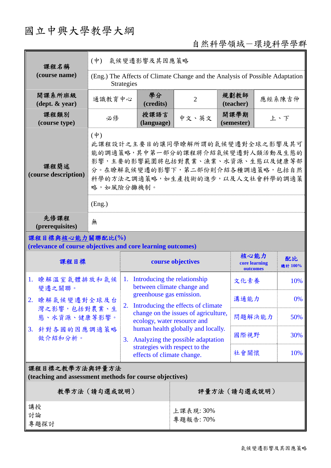# 國立中興大學教學大綱

## 自然科學領域-環境科學學群

| 課程名稱<br>(course name)                                                           | 氣候變遷影響及其因應策略<br>$(\dot{\Psi})$                                                                                                                                                                                            |                                                                  |                                                                                                                                       |                                   |        |               |
|---------------------------------------------------------------------------------|---------------------------------------------------------------------------------------------------------------------------------------------------------------------------------------------------------------------------|------------------------------------------------------------------|---------------------------------------------------------------------------------------------------------------------------------------|-----------------------------------|--------|---------------|
|                                                                                 | (Eng.) The Affects of Climate Change and the Analysis of Possible Adaptation<br><b>Strategies</b>                                                                                                                         |                                                                  |                                                                                                                                       |                                   |        |               |
| 開課系所班級<br>(dept. & year)                                                        | 通識教育中心                                                                                                                                                                                                                    | 學分<br>(credits)                                                  | $\overline{2}$                                                                                                                        | 規劃教師<br>(teacher)                 | 應經系陳吉仲 |               |
| 課程類別<br>(course type)                                                           | 必修                                                                                                                                                                                                                        | 授課語言<br>(language)                                               | 中文、英文                                                                                                                                 | 開課學期<br>上、下<br>(semester)         |        |               |
| 課程簡述<br>(course description)                                                    | $(\dot{\Psi})$<br>此課程設計之主要目的讓同學瞭解所謂的氣候變遷對全球之影響及其可<br>能的調適策略,其中第一部分的課程將介紹氣候變遷對人類活動及生態的<br>影響,主要的影響範圍將包括對農業、漁業、水資源、生態以及健康等部<br>分。在瞭解氣候變遷的影響下,第二部份則介紹各種調適策略,包括自然<br>科學的方法之調適策略,如生產技術的進步,以及人文社會科學的調適策<br>略,如風險分攤機制。<br>(Eng.) |                                                                  |                                                                                                                                       |                                   |        |               |
| 先修課程<br>(prerequisites)                                                         | 無                                                                                                                                                                                                                         |                                                                  |                                                                                                                                       |                                   |        |               |
| 課程目標與核心能力關聯配比(%)<br>(relevance of course objectives and core learning outcomes) |                                                                                                                                                                                                                           |                                                                  |                                                                                                                                       |                                   |        |               |
| 課程目標                                                                            |                                                                                                                                                                                                                           | course objectives                                                |                                                                                                                                       | 核心能力<br>core learning<br>outcomes |        | 配比<br>總計 100% |
| 瞭解溫室氣體排放和氣候<br>1.<br>變遷之關聯。                                                     |                                                                                                                                                                                                                           | Introducing the relationship<br>1.<br>between climate change and |                                                                                                                                       | 文化素養                              |        | 10%           |
| 瞭解氣候變遷對全球及台<br>2.                                                               | 2.                                                                                                                                                                                                                        |                                                                  | greenhouse gas emission.<br>Introducing the effects of climate<br>change on the issues of agriculture,<br>ecology, water resource and |                                   | 溝通能力   | 0%            |
| 灣之影響,包括對農業、生<br>態、水資源、健康等影響。                                                    |                                                                                                                                                                                                                           |                                                                  |                                                                                                                                       |                                   | 問題解決能力 | 50%           |
| 3. 針對各國的因應調適策略<br>做介紹和分析。                                                       |                                                                                                                                                                                                                           |                                                                  | human health globally and locally.<br>Analyzing the possible adaptation                                                               | 國際視野                              |        | 30%           |
|                                                                                 |                                                                                                                                                                                                                           |                                                                  | strategies with respect to the<br>effects of climate change.                                                                          |                                   | 社會關懷   | 10%           |
| 課程目標之教學方法與評量方法<br>(teaching and assessment methods for course objectives)       |                                                                                                                                                                                                                           |                                                                  |                                                                                                                                       |                                   |        |               |
| 教學方法(請勾選或說明)                                                                    |                                                                                                                                                                                                                           |                                                                  | 評量方法(請勾選或說明)                                                                                                                          |                                   |        |               |
| 講授<br>討論<br>專題探討                                                                |                                                                                                                                                                                                                           |                                                                  | 上課表現: 30%<br>專題報告: 70%                                                                                                                |                                   |        |               |